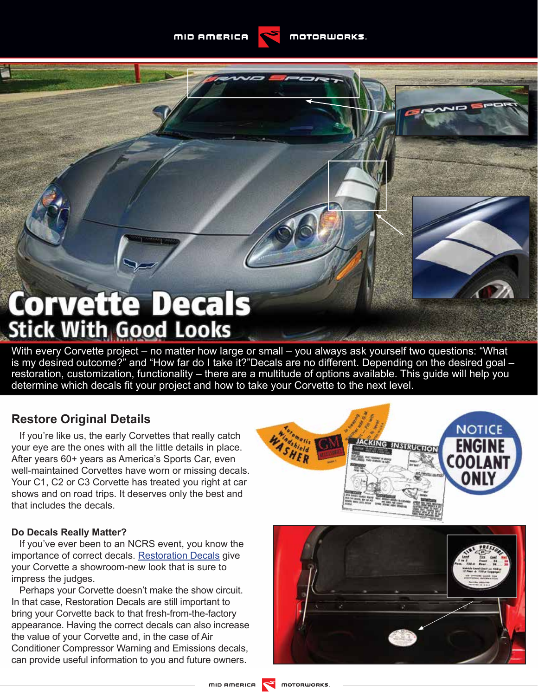# **Corvette Decals**<br>Stick With Good Looks

With every Corvette project – no matter how large or small – you always ask yourself two questions: "What is my desired outcome?" and "How far do I take it?"Decals are no different. Depending on the desired goal – restoration, customization, functionality – there are a multitude of options available. This guide will help you determine which decals fit your project and how to take your Corvette to the next level.

# **Restore Original Details**

If you're like us, the early Corvettes that really catch your eye are the ones with all the little details in place. After years 60+ years as America's Sports Car, even well-maintained Corvettes have worn or missing decals. Your C1, C2 or C3 Corvette has treated you right at car shows and on road trips. It deserves only the best and that includes the decals.

#### **Do Decals Really Matter?**

If you've ever been to an NCRS event, you know the importance of correct decals. [Restoration Decals](http://www.mamotorworks.com/Corvette/Category/restoration-decals) give your Corvette a showroom-new look that is sure to impress the judges.

Perhaps your Corvette doesn't make the show circuit. In that case, Restoration Decals are still important to bring your Corvette back to that fresh-from-the-factory appearance. Having the correct decals can also increase the value of your Corvette and, in the case of Air Conditioner Compressor Warning and Emissions decals, can provide useful information to you and future owners.